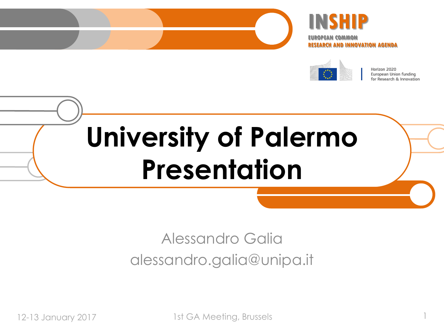





Horizon 2020 European Union funding for Research & Innovation

# **University of Palermo Presentation**

### Alessandro Galia alessandro.galia@unipa.it

12-13 January 2017 1st GA Meeting, Brussels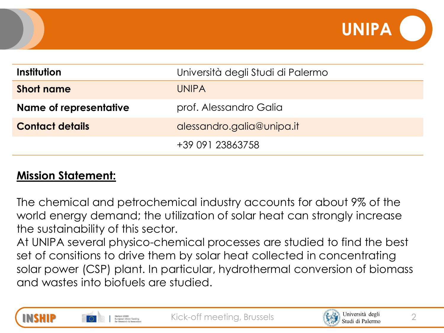

| Institution            | Università degli Studi di Palermo |
|------------------------|-----------------------------------|
| <b>Short name</b>      | <b>UNIPA</b>                      |
| Name of representative | prof. Alessandro Galia            |
| <b>Contact details</b> | alessandro.galia@unipa.it         |
|                        | +39 091 23863758                  |

#### **Mission Statement:**

The chemical and petrochemical industry accounts for about 9% of the world energy demand; the utilization of solar heat can strongly increase the sustainability of this sector.

At UNIPA several physico-chemical processes are studied to find the best set of consitions to drive them by solar heat collected in concentrating solar power (CSP) plant. In particular, hydrothermal conversion of biomass and wastes into biofuels are studied.



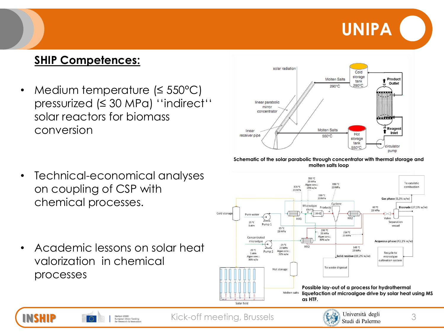## **UNIPA**

#### **SHIP Competences:**

• Medium temperature (≤ 550°C) pressurized (≤ 30 MPa) ''indirect'' solar reactors for biomass conversion



**Schematic of the solar parabolic through concentrator with thermal storage and molten salts loop**

- Technical-economical analyses on coupling of CSP with chemical processes.
- Academic lessons on solar heat valorization in chemical processes



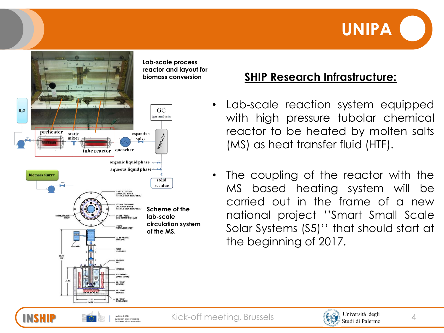**UNIPA**



#### **SHIP Research Infrastructure:**

- Lab-scale reaction system equipped with high pressure tubolar chemical reactor to be heated by molten salts (MS) as heat transfer fluid (HTF).
- The coupling of the reactor with the MS based heating system will be carried out in the frame of a new national project ''Smart Small Scale Solar Systems (S5)'' that should start at the beginning of 2017.